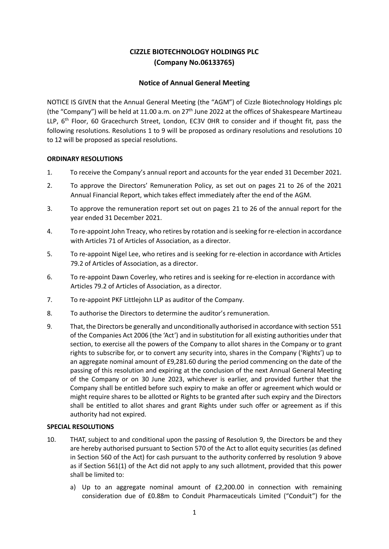# **CIZZLE BIOTECHNOLOGY HOLDINGS PLC (Company No.06133765)**

## **Notice of Annual General Meeting**

NOTICE IS GIVEN that the Annual General Meeting (the "AGM") of Cizzle Biotechnology Holdings plc (the "Company") will be held at 11.00 a.m. on 27<sup>th</sup> June 2022 at the offices of Shakespeare Martineau LLP, 6<sup>th</sup> Floor, 60 Gracechurch Street, London, EC3V 0HR to consider and if thought fit, pass the following resolutions. Resolutions 1 to 9 will be proposed as ordinary resolutions and resolutions 10 to 12 will be proposed as special resolutions.

### **ORDINARY RESOLUTIONS**

- 1. To receive the Company's annual report and accounts for the year ended 31 December 2021.
- 2. To approve the Directors' Remuneration Policy, as set out on pages 21 to 26 of the 2021 Annual Financial Report, which takes effect immediately after the end of the AGM.
- 3. To approve the remuneration report set out on pages 21 to 26 of the annual report for the year ended 31 December 2021.
- 4. To re-appoint John Treacy, who retires by rotation and is seeking for re-election in accordance with Articles 71 of Articles of Association, as a director.
- 5. To re-appoint Nigel Lee, who retires and is seeking for re-election in accordance with Articles 79.2 of Articles of Association, as a director.
- 6. To re-appoint Dawn Coverley, who retires and is seeking for re-election in accordance with Articles 79.2 of Articles of Association, as a director.
- 7. To re-appoint PKF Littlejohn LLP as auditor of the Company.
- 8. To authorise the Directors to determine the auditor's remuneration.
- 9. That, the Directors be generally and unconditionally authorised in accordance with section 551 of the Companies Act 2006 (the 'Act') and in substitution for all existing authorities under that section, to exercise all the powers of the Company to allot shares in the Company or to grant rights to subscribe for, or to convert any security into, shares in the Company ('Rights') up to an aggregate nominal amount of £9,281.60 during the period commencing on the date of the passing of this resolution and expiring at the conclusion of the next Annual General Meeting of the Company or on 30 June 2023, whichever is earlier, and provided further that the Company shall be entitled before such expiry to make an offer or agreement which would or might require shares to be allotted or Rights to be granted after such expiry and the Directors shall be entitled to allot shares and grant Rights under such offer or agreement as if this authority had not expired.

#### **SPECIAL RESOLUTIONS**

- 10. THAT, subject to and conditional upon the passing of Resolution 9, the Directors be and they are hereby authorised pursuant to Section 570 of the Act to allot equity securities (as defined in Section 560 of the Act) for cash pursuant to the authority conferred by resolution 9 above as if Section 561(1) of the Act did not apply to any such allotment, provided that this power shall be limited to:
	- a) Up to an aggregate nominal amount of £2,200.00 in connection with remaining consideration due of £0.88m to Conduit Pharmaceuticals Limited ("Conduit") for the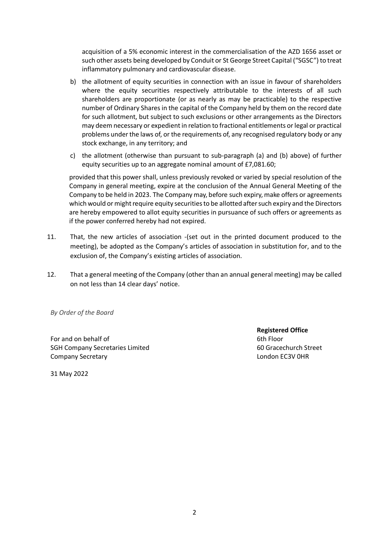acquisition of a 5% economic interest in the commercialisation of the AZD 1656 asset or such other assets being developed by Conduit or St George Street Capital ("SGSC") to treat inflammatory pulmonary and cardiovascular disease.

- b) the allotment of equity securities in connection with an issue in favour of shareholders where the equity securities respectively attributable to the interests of all such shareholders are proportionate (or as nearly as may be practicable) to the respective number of Ordinary Shares in the capital of the Company held by them on the record date for such allotment, but subject to such exclusions or other arrangements as the Directors may deem necessary or expedient in relation to fractional entitlements or legal or practical problems under the laws of, or the requirements of, any recognised regulatory body or any stock exchange, in any territory; and
- c) the allotment (otherwise than pursuant to sub-paragraph (a) and (b) above) of further equity securities up to an aggregate nominal amount of £7,081.60;

provided that this power shall, unless previously revoked or varied by special resolution of the Company in general meeting, expire at the conclusion of the Annual General Meeting of the Company to be held in 2023. The Company may, before such expiry, make offers or agreements which would or might require equity securities to be allotted after such expiry and the Directors are hereby empowered to allot equity securities in pursuance of such offers or agreements as if the power conferred hereby had not expired.

- 11. That, the new articles of association -(set out in the printed document produced to the meeting), be adopted as the Company's articles of association in substitution for, and to the exclusion of, the Company's existing articles of association.
- 12. That a general meeting of the Company (other than an annual general meeting) may be called on not less than 14 clear days' notice.

*By Order of the Board*

For and on behalf of SGH Company Secretaries Limited Company Secretary

**Registered Office** 6th Floor 60 Gracechurch Street London EC3V 0HR

31 May 2022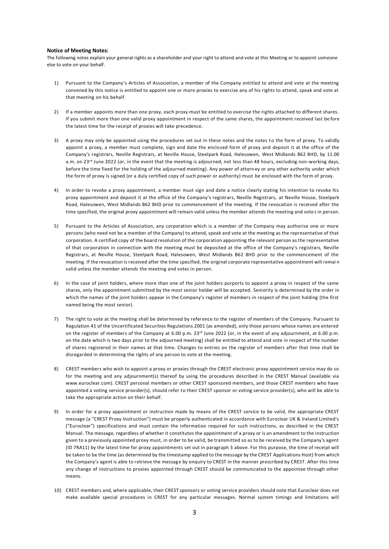#### **Notice of Meeting Notes:**

The following notes explain your general rights as a shareholder and your right to attend and vote at this Meeting or to appoint someone else to vote on your behalf.

- 1) Pursuant to the Company's Articles of Association, a member of the Company entitled to attend and vote at the meeting convened by this notice is entitled to appoint one or more proxies to exercise any of his rights to attend, speak and vote at that meeting on his behalf.
- 2) If a member appoints more than one proxy, each proxy must be entitled to exercise the rights attached to different shares. If you submit more than one valid proxy appointment in respect of the same shares, the appointment received last be fore the latest time for the receipt of proxies will take precedence.
- 3) A proxy may only be appointed using the procedures set out in these notes and the notes to the form of proxy. To validly appoint a proxy, a member must complete, sign and date the enclosed form of proxy and deposit it at the office of the Company's registrars, Neville Registrars, at Neville House, Steelpark Road, Halesowen, West Midlands B62 8HD, by 11.00 a.m. on 23<sup>rd</sup> June 2022 (or, in the event that the meeting is adjourned, not less than 48 hours, excluding non-working days, before the time fixed for the holding of the adjourned meeting). Any power of attorn ey or any other authority under which the form of proxy is signed (or a duly certified copy of such power or authority) must be enclosed with the form of proxy.
- 4) In order to revoke a proxy appointment, a member must sign and date a notice clearly stating his intention to revoke his proxy appointment and deposit it at the office of the Company's registrars, Neville Registrars, at Neville House, Steelpark Road, Halesowen, West Midlands B62 8HD prior to commencement of the meeting. If the revocation is received after the time specified, the original proxy appointment will remain valid unless the member attends the meeting and vote s in person.
- 5) Pursuant to the Articles of Association, any corporation which is a member of the Company may authorise one or more persons (who need not be a member of the Company) to attend, speak and vote at the meeting as the representative of that corporation. A certified copy of the board resolution of the corporation appointing the relevant person as the representative of that corporation in connection with the meeting must be deposited at the office of the Company's registrars, Neville Registrars, at Neville House, Steelpark Road, Halesowen, West Midlands B62 8HD prior to the commencement of the meeting. If the revocation is received after the time specified, the original corporate representative appointment will remai n valid unless the member attends the meeting and votes in person.
- In the case of joint holders, where more than one of the joint holders purports to appoint a proxy in respect of the same shares, only the appointment submitted by the most senior holder will be accepted. Seniority is determined by the order in which the names of the joint holders appear in the Company's register of members in respect of the joint holding (the first named being the most senior).
- 7) The right to vote at the meeting shall be determined by reference to the register of members of the Company. Pursuant to Regulation 41 of the Uncertificated Securities Regulations 2001 (as amended), only those persons whose names are entered on the register of members of the Company at 6.00 p.m. 23<sup>rd</sup> June 2022 (or, in the event of any adjournment, at 6.00 p.m. on the date which is two days prior to the adjourned meeting) shall be entitled to attend and vote in respect of the number of shares registered in their names at that time. Changes to entries on the register of members after that time shall be disregarded in determining the rights of any person to vote at the meeting.
- 8) CREST members who wish to appoint a proxy or proxies through the CREST electronic proxy appointment service may do so for the meeting and any adjournment(s) thereof by using the procedures described in the CREST Manual (available via www.euroclear.com). CREST personal members or other CREST sponsored members, and those CREST members who have appointed a voting service provider(s), should refer to their CREST sponsor or voting service provider(s), who will be able to take the appropriate action on their behalf.
- 9) In order for a proxy appointment or instruction made by means of the CREST service to be valid, the appropriate CREST message (a "CREST Proxy Instruction") must be properly authenticated in accordance with Euroclear UK & Ireland Limited's ("Euroclear") specifications and must contain the information required for such instructions, as described in the CREST Manual. The message, regardless of whether it constitutes the appointment of a proxy or is an amendment to the instruction given to a previously appointed proxy must, in order to be valid, be transmitted so as to be received by the Company's agent (ID 7RA11) by the latest time for proxy appointments set out in paragraph 3 above. For this purpose, the time of receipt will be taken to be the time (as determined by the timestamp applied to the message by the CREST Applications Host) from which the Company's agent is able to retrieve the message by enquiry to CREST in the manner prescribed by CREST. After this time any change of instructions to proxies appointed through CREST should be communicated to the appointee through other means.
- 10) CREST members and, where applicable, their CREST sponsors or voting service providers should note that Euroclear does not make available special procedures in CREST for any particular messages. Normal system timings and limitations will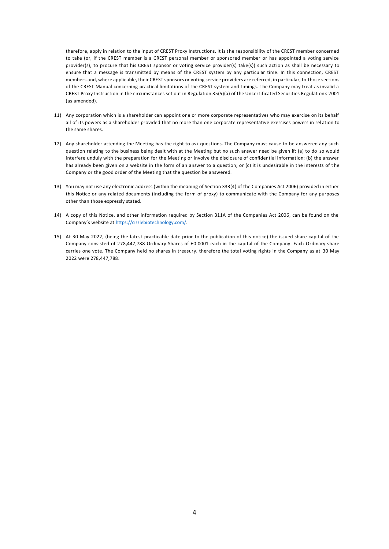therefore, apply in relation to the input of CREST Proxy Instructions. It is the responsibility of the CREST member concerned to take (or, if the CREST member is a CREST personal member or sponsored member or has appointed a voting service provider(s), to procure that his CREST sponsor or voting service provider(s) take(s)) such action as shall be necessary to ensure that a message is transmitted by means of the CREST system by any particular time. In this connection, CREST members and, where applicable, their CREST sponsors or voting service providers are referred, in particular, to those sections of the CREST Manual concerning practical limitations of the CREST system and timings. The Company may treat as invalid a CREST Proxy Instruction in the circumstances set out in Regulation 35(5)(a) of the Uncertificated Securities Regulation s 2001 (as amended).

- 11) Any corporation which is a shareholder can appoint one or more corporate representatives who may exercise on its behalf all of its powers as a shareholder provided that no more than one corporate representative exercises powers in rel ation to the same shares.
- 12) Any shareholder attending the Meeting has the right to ask questions. The Company must cause to be answered any such question relating to the business being dealt with at the Meeting but no such answer need be given if: (a) to do so would interfere unduly with the preparation for the Meeting or involve the disclosure of confidential information; (b) the answer has already been given on a website in the form of an answer to a question; or (c) it is undesirable in the interests of t he Company or the good order of the Meeting that the question be answered.
- 13) You may not use any electronic address (within the meaning of Section 333(4) of the Companies Act 2006) provided in either this Notice or any related documents (including the form of proxy) to communicate with the Company for any purposes other than those expressly stated.
- 14) A copy of this Notice, and other information required by Section 311A of the Companies Act 2006, can be found on the Company's website at [https://cizzlebiotechnology.com/.](https://cizzlebiotechnology.com/)
- 15) At 30 May 2022, (being the latest practicable date prior to the publication of this notice) the issued share capital of the Company consisted of 278,447,788 Ordinary Shares of £0.0001 each in the capital of the Company. Each Ordinary share carries one vote. The Company held no shares in treasury, therefore the total voting rights in the Company as at 30 May 2022 were 278,447,788.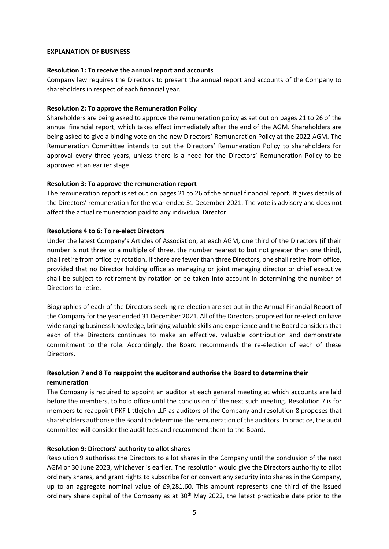#### **EXPLANATION OF BUSINESS**

#### **Resolution 1: To receive the annual report and accounts**

Company law requires the Directors to present the annual report and accounts of the Company to shareholders in respect of each financial year.

#### **Resolution 2: To approve the Remuneration Policy**

Shareholders are being asked to approve the remuneration policy as set out on pages 21 to 26 of the annual financial report, which takes effect immediately after the end of the AGM. Shareholders are being asked to give a binding vote on the new Directors' Remuneration Policy at the 2022 AGM. The Remuneration Committee intends to put the Directors' Remuneration Policy to shareholders for approval every three years, unless there is a need for the Directors' Remuneration Policy to be approved at an earlier stage.

#### **Resolution 3: To approve the remuneration report**

The remuneration report is set out on pages 21 to 26 of the annual financial report. It gives details of the Directors' remuneration for the year ended 31 December 2021. The vote is advisory and does not affect the actual remuneration paid to any individual Director.

#### **Resolutions 4 to 6: To re-elect Directors**

Under the latest Company's Articles of Association, at each AGM, one third of the Directors (if their number is not three or a multiple of three, the number nearest to but not greater than one third), shall retire from office by rotation. If there are fewer than three Directors, one shall retire from office, provided that no Director holding office as managing or joint managing director or chief executive shall be subject to retirement by rotation or be taken into account in determining the number of Directors to retire.

Biographies of each of the Directors seeking re-election are set out in the Annual Financial Report of the Company for the year ended 31 December 2021. All of the Directors proposed for re-election have wide ranging business knowledge, bringing valuable skills and experience and the Board considers that each of the Directors continues to make an effective, valuable contribution and demonstrate commitment to the role. Accordingly, the Board recommends the re-election of each of these Directors.

# **Resolution 7 and 8 To reappoint the auditor and authorise the Board to determine their remuneration**

The Company is required to appoint an auditor at each general meeting at which accounts are laid before the members, to hold office until the conclusion of the next such meeting. Resolution 7 is for members to reappoint PKF Littlejohn LLP as auditors of the Company and resolution 8 proposes that shareholders authorise the Board to determine the remuneration of the auditors. In practice, the audit committee will consider the audit fees and recommend them to the Board.

#### **Resolution 9: Directors' authority to allot shares**

Resolution 9 authorises the Directors to allot shares in the Company until the conclusion of the next AGM or 30 June 2023, whichever is earlier. The resolution would give the Directors authority to allot ordinary shares, and grant rights to subscribe for or convert any security into shares in the Company, up to an aggregate nominal value of £9,281.60. This amount represents one third of the issued ordinary share capital of the Company as at 30<sup>th</sup> May 2022, the latest practicable date prior to the